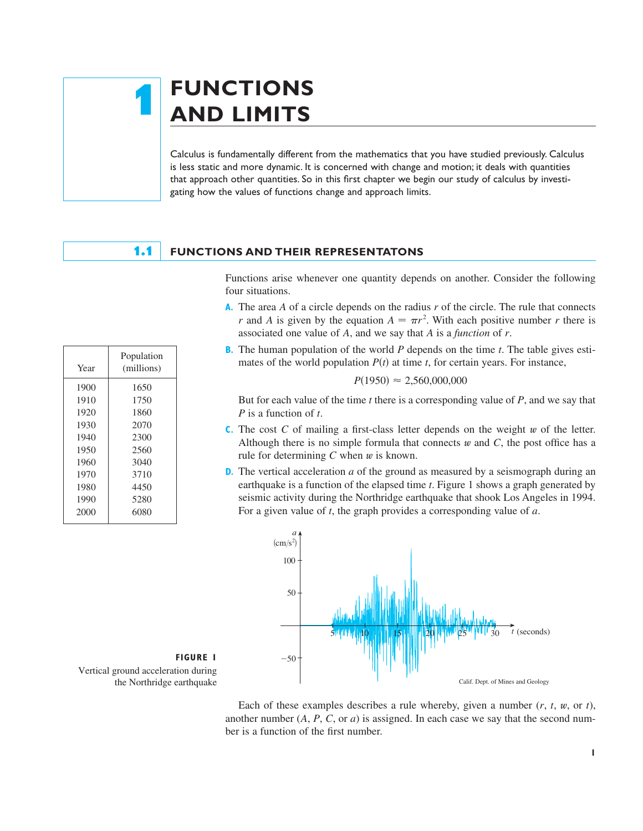# **FUNCTIONS AND LIMITS**

Calculus is fundamentally different from the mathematics that you have studied previously. Calculus is less static and more dynamic. It is concerned with change and motion; it deals with quantities that approach other quantities. So in this first chapter we begin our study of calculus by investigating how the values of functions change and approach limits.

#### **FUNCTIONS AND THEIR REPRESENTATONS 1.1**

Functions arise whenever one quantity depends on another. Consider the following four situations.

- A. The area A of a circle depends on the radius r of the circle. The rule that connects *r* and A is given by the equation  $A = \pi r^2$ . With each positive number *r* there is associated one value of  $A$ , and we say that  $A$  is a *function* of  $r$ .
- **B.** The human population of the world  $P$  depends on the time  $t$ . The table gives estimates of the world population  $P(t)$  at time t, for certain years. For instance,

$$
P(1950) \approx 2,560,000,000
$$

But for each value of the time  $t$  there is a corresponding value of  $P$ , and we say that *P* is a function of *t*.

- **c**. The cost C of mailing a first-class letter depends on the weight  $w$  of the letter. Although there is no simple formula that connects  $w$  and  $C$ , the post office has a rule for determining  $C$  when  $w$  is known.
- **D.** The vertical acceleration a of the ground as measured by a seismograph during an earthquake is a function of the elapsed time *t*. Figure 1 shows a graph generated by seismic activity during the Northridge earthquake that shook Los Angeles in 1994. For a given value of  $t$ , the graph provides a corresponding value of  $a$ .



**FIGURE 1** Vertical ground acceleration during the Northridge earthquake

| Year | Population<br>(millions) |
|------|--------------------------|
| 1900 | 1650                     |
| 1910 | 1750                     |
| 1920 | 1860                     |
| 1930 | 2070                     |
| 1940 | 2300                     |
| 1950 | 2560                     |
| 1960 | 3040                     |
| 1970 | 3710                     |
| 1980 | 4450                     |
| 1990 | 5280                     |
| 2000 | 6080                     |

**1**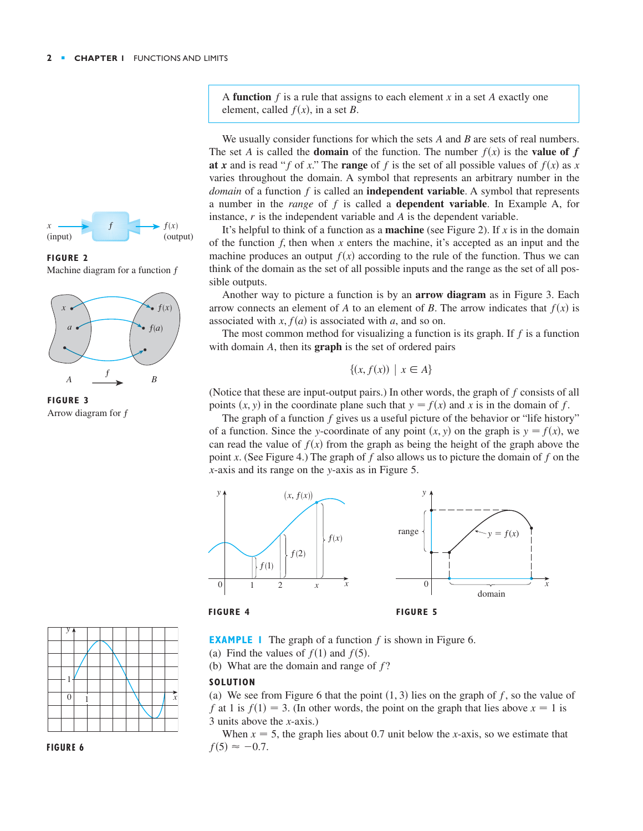

**FIGURE 2** Machine diagram for a function  $f$ 



**FIGURE 3** Arrow diagram for ƒ



We usually consider functions for which the sets  $A$  and  $B$  are sets of real numbers. The set A is called the **domain** of the function. The number  $f(x)$  is the **value of** *f* **at** x and is read "f of x." The **range** of f is the set of all possible values of  $f(x)$  as x varies throughout the domain. A symbol that represents an arbitrary number in the *domain* of a function f is called an **independent variable**. A symbol that represents a number in the *range* of f is called a **dependent variable**. In Example A, for instance,  $r$  is the independent variable and  $A$  is the dependent variable.

It's helpful to think of a function as a **machine** (see Figure 2). If  $x$  is in the domain of the function  $f$ , then when  $x$  enters the machine, it's accepted as an input and the machine produces an output  $f(x)$  according to the rule of the function. Thus we can think of the domain as the set of all possible inputs and the range as the set of all possible outputs.

Another way to picture a function is by an **arrow diagram** as in Figure 3. Each arrow connects an element of A to an element of B. The arrow indicates that  $f(x)$  is associated with  $x$ ,  $f(a)$  is associated with a, and so on.

The most common method for visualizing a function is its graph. If  $f$  is a function with domain A, then its **graph** is the set of ordered pairs

$$
\{(x, f(x)) \mid x \in A\}
$$

(Notice that these are input-output pairs.) In other words, the graph of  $f$  consists of all points  $(x, y)$  in the coordinate plane such that  $y = f(x)$  and x is in the domain of f.

The graph of a function  $f$  gives us a useful picture of the behavior or "life history" of a function. Since the y-coordinate of any point  $(x, y)$  on the graph is  $y = f(x)$ , we can read the value of  $f(x)$  from the graph as being the height of the graph above the point x. (See Figure 4.) The graph of  $f$  also allows us to picture the domain of  $f$  on the *x*-axis and its range on the y-axis as in Figure 5.



**EXAMPLE 1** The graph of a function  $f$  is shown in Figure 6.

- (a) Find the values of  $f(1)$  and  $f(5)$ .
- (b) What are the domain and range of  $f$ ?

# **SOLUTION**

(a) We see from Figure 6 that the point  $(1, 3)$  lies on the graph of  $f$ , so the value of f at 1 is  $f(1) = 3$ . (In other words, the point on the graph that lies above  $x = 1$  is 3 units above the *x*-axis.)

When  $x = 5$ , the graph lies about 0.7 unit below the *x*-axis, so we estimate that  $f(5) \approx -0.7$ .



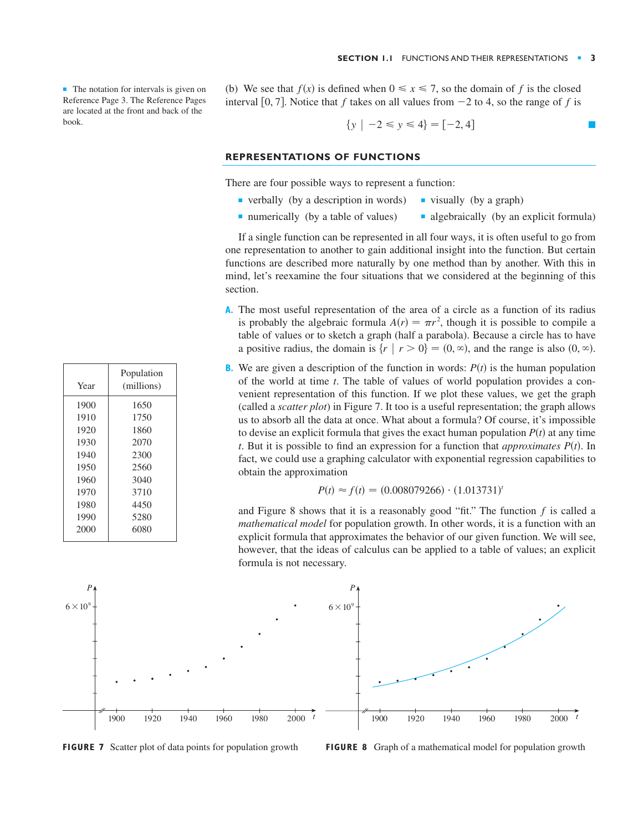■ The notation for intervals is given on Reference Page 3. The Reference Pages are located at the front and back of the book.

(b) We see that  $f(x)$  is defined when  $0 \le x \le 7$ , so the domain of f is the closed interval [0, 7]. Notice that f takes on all values from  $-2$  to 4, so the range of f is

$$
\{y \mid -2 \le y \le 4\} = [-2, 4]
$$

# **REPRESENTATIONS OF FUNCTIONS**

There are four possible ways to represent a function:

- verbally (by a description in words) visually (by a graph)
- numerically (by a table of values) algebraically (by an explicit formula)

If a single function can be represented in all four ways, it is often useful to go from one representation to another to gain additional insight into the function. But certain functions are described more naturally by one method than by another. With this in mind, let's reexamine the four situations that we considered at the beginning of this section.

- **A.** The most useful representation of the area of a circle as a function of its radius is probably the algebraic formula  $A(r) = \pi r^2$ , though it is possible to compile a table of values or to sketch a graph (half a parabola). Because a circle has to have a positive radius, the domain is  $\{r \mid r > 0\} = (0, \infty)$ , and the range is also  $(0, \infty)$ .
- **B.** We are given a description of the function in words:  $P(t)$  is the human population of the world at time *t*. The table of values of world population provides a convenient representation of this function. If we plot these values, we get the graph (called a *scatter plot*) in Figure 7. It too is a useful representation; the graph allows us to absorb all the data at once. What about a formula? Of course, it's impossible to devise an explicit formula that gives the exact human population  $P(t)$  at any time *t*. But it is possible to find an expression for a function that *approximates*  $P(t)$ . In fact, we could use a graphing calculator with exponential regression capabilities to obtain the approximation

$$
P(t) \approx f(t) = (0.008079266) \cdot (1.013731)^t
$$

and Figure 8 shows that it is a reasonably good "fit." The function  $f$  is called a *mathematical model* for population growth. In other words, it is a function with an explicit formula that approximates the behavior of our given function. We will see, however, that the ideas of calculus can be applied to a table of values; an explicit formula is not necessary.



**FIGURE 7** Scatter plot of data points for population growth **FIGURE 8** Graph of a mathematical model for population growth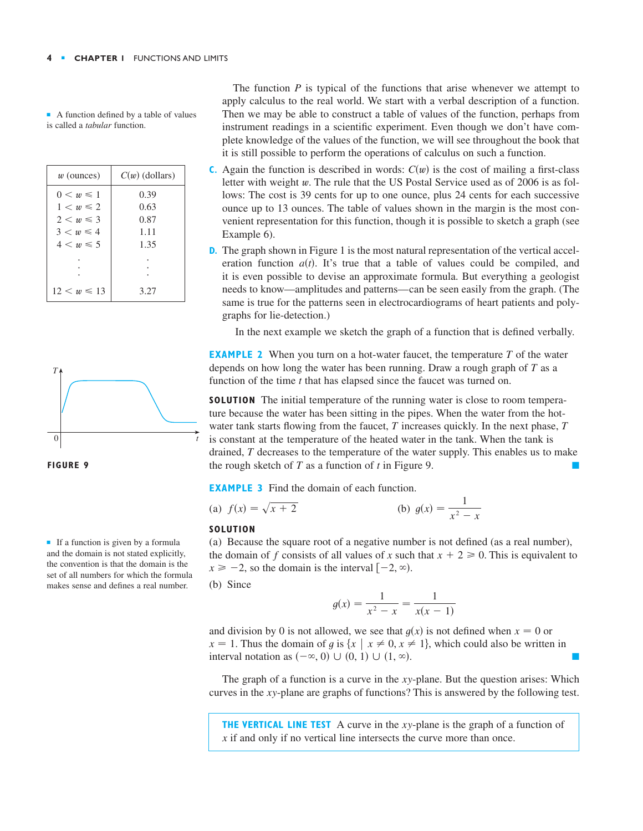■ A function defined by a table of values is called a *tabular* function.

| $w$ (ounces)        | $C(w)$ (dollars) |
|---------------------|------------------|
| $0 < w \leq 1$      | 0.39             |
| $1 \lt w \leq 2$    | 0.63             |
| $2 < w \leqslant 3$ | 0.87             |
| $3 < w \leq 4$      | 1.11             |
| $4 < w \leqslant 5$ | 1.35             |
|                     |                  |
|                     |                  |
|                     |                  |
| $12 < w \le 13$     | 3.27             |



**FIGURE 9**

■ If a function is given by a formula and the domain is not stated explicitly, the convention is that the domain is the set of all numbers for which the formula makes sense and defines a real number.

The function  $P$  is typical of the functions that arise whenever we attempt to apply calculus to the real world. We start with a verbal description of a function. Then we may be able to construct a table of values of the function, perhaps from instrument readings in a scientific experiment. Even though we don't have complete knowledge of the values of the function, we will see throughout the book that it is still possible to perform the operations of calculus on such a function.

- **C.** Again the function is described in words:  $C(w)$  is the cost of mailing a first-class letter with weight w. The rule that the US Postal Service used as of 2006 is as follows: The cost is 39 cents for up to one ounce, plus 24 cents for each successive ounce up to 13 ounces. The table of values shown in the margin is the most convenient representation for this function, though it is possible to sketch a graph (see Example 6).
- **D.** The graph shown in Figure 1 is the most natural representation of the vertical acceleration function  $a(t)$ . It's true that a table of values could be compiled, and it is even possible to devise an approximate formula. But everything a geologist needs to know—amplitudes and patterns—can be seen easily from the graph. (The same is true for the patterns seen in electrocardiograms of heart patients and polygraphs for lie-detection.)

In the next example we sketch the graph of a function that is defined verbally.

**EXAMPLE 2** When you turn on a hot-water faucet, the temperature T of the water depends on how long the water has been running. Draw a rough graph of  $T$  as a function of the time  $t$  that has elapsed since the faucet was turned on.

**SOLUTION** The initial temperature of the running water is close to room temperature because the water has been sitting in the pipes. When the water from the hotwater tank starts flowing from the faucet,  $T$  increases quickly. In the next phase,  $T$ is constant at the temperature of the heated water in the tank. When the tank is drained, T decreases to the temperature of the water supply. This enables us to make the rough sketch of T as a function of t in Figure 9.

**EXAMPLE 3** Find the domain of each function.

(a) 
$$
f(x) = \sqrt{x+2}
$$
   
 (b)  $g(x) = \frac{1}{x^2 - x}$ 

## **SOLUTION**

(a) Because the square root of a negative number is not defined (as a real number), the domain of f consists of all values of x such that  $x + 2 \ge 0$ . This is equivalent to  $x \ge -2$ , so the domain is the interval  $[-2, \infty)$ .

(b) Since

$$
g(x) = \frac{1}{x^2 - x} = \frac{1}{x(x - 1)}
$$

and division by 0 is not allowed, we see that  $g(x)$  is not defined when  $x = 0$  or  $x = 1$ . Thus the domain of g is  $\{x \mid x \neq 0, x \neq 1\}$ , which could also be written in interval notation as  $(-\infty, 0) \cup (0, 1) \cup (1, \infty)$ .

The graph of a function is a curve in the xy-plane. But the question arises: Which curves in the  $xy$ -plane are graphs of functions? This is answered by the following test.

**THE VERTICAL LINE TEST** A curve in the xy-plane is the graph of a function of *x* if and only if no vertical line intersects the curve more than once.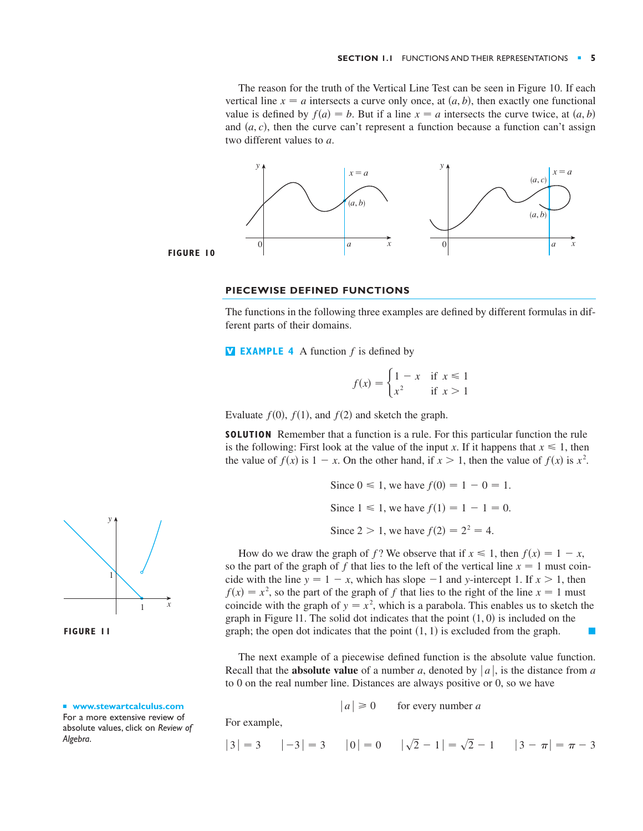The reason for the truth of the Vertical Line Test can be seen in Figure 10. If each vertical line  $x = a$  intersects a curve only once, at  $(a, b)$ , then exactly one functional value is defined by  $f(a) = b$ . But if a line  $x = a$  intersects the curve twice, at  $(a, b)$ and  $(a, c)$ , then the curve can't represent a function because a function can't assign two different values to a.



#### **PIECEWISE DEFINED FUNCTIONS**

The functions in the following three examples are defined by different formulas in different parts of their domains.

**EXAMPLE 4** A function  $f$  is defined by

$$
f(x) = \begin{cases} 1 - x & \text{if } x \le 1 \\ x^2 & \text{if } x > 1 \end{cases}
$$

Evaluate  $f(0)$ ,  $f(1)$ , and  $f(2)$  and sketch the graph.

**SOLUTION** Remember that a function is a rule. For this particular function the rule is the following: First look at the value of the input x. If it happens that  $x \leq 1$ , then the value of  $f(x)$  is  $1 - x$ . On the other hand, if  $x > 1$ , then the value of  $f(x)$  is  $x^2$ .

> Since  $2 > 1$ , we have  $f(2) = 2^2 = 4$ . Since  $1 \le 1$ , we have  $f(1) = 1 - 1 = 0$ . Since  $0 \le 1$ , we have  $f(0) = 1 - 0 = 1$ .

How do we draw the graph of f? We observe that if  $x \le 1$ , then  $f(x) = 1 - x$ , so the part of the graph of f that lies to the left of the vertical line  $x = 1$  must coincide with the line  $y = 1 - x$ , which has slope  $-1$  and y-intercept 1. If  $x > 1$ , then  $f(x) = x^2$ , so the part of the graph of f that lies to the right of the line  $x = 1$  must coincide with the graph of  $y = x^2$ , which is a parabola. This enables us to sketch the graph in Figure 11. The solid dot indicates that the point  $(1, 0)$  is included on the graph; the open dot indicates that the point  $(1, 1)$  is excluded from the graph.

The next example of a piecewise defined function is the absolute value function. Recall that the **absolute value** of a number a, denoted by  $|a|$ , is the distance from a to  $0$  on the real number line. Distances are always positive or  $0$ , so we have

 $|a| \ge 0$  for every number *a* 

For example,

$$
|3| = 3
$$
  $|-3| = 3$   $|0| = 0$   $|\sqrt{2} - 1| = \sqrt{2} - 1$   $|3 - \pi| = \pi - 3$ 



**FIGURE 11**

■ **www.stewartcalculus.com** For a more extensive review of absolute values, click on *Review of Algebra*.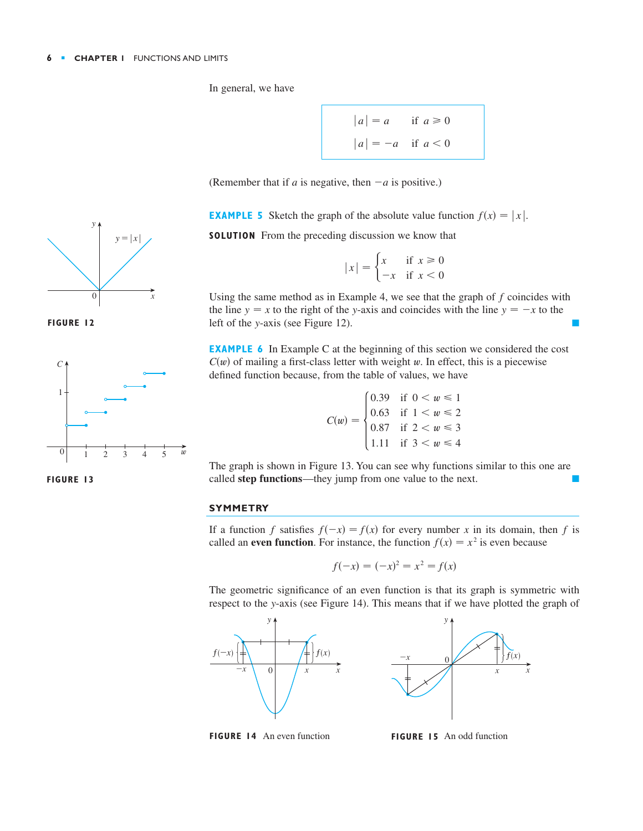In general, we have

$$
|a| = a \quad \text{if } a \ge 0
$$

$$
|a| = -a \quad \text{if } a < 0
$$

(Remember that if a is negative, then  $-a$  is positive.)

**EXAMPLE 5** Sketch the graph of the absolute value function  $f(x) = |x|$ .

**SOLUTION** From the preceding discussion we know that

$$
|x| = \begin{cases} x & \text{if } x \ge 0\\ -x & \text{if } x < 0 \end{cases}
$$

Using the same method as in Example 4, we see that the graph of  $f$  coincides with the line  $y = x$  to the right of the y-axis and coincides with the line  $y = -x$  to the left of the y-axis (see Figure 12).

**EXAMPLE 6** In Example C at the beginning of this section we considered the cost  $C(w)$  of mailing a first-class letter with weight  $w$ . In effect, this is a piecewise defined function because, from the table of values, we have

$$
C(w) = \begin{cases} 0.39 & \text{if } 0 < w \le 1 \\ 0.63 & \text{if } 1 < w \le 2 \\ 0.87 & \text{if } 2 < w \le 3 \\ 1.11 & \text{if } 3 < w \le 4 \end{cases}
$$

The graph is shown in Figure 13. You can see why functions similar to this one are called **step functions**—they jump from one value to the next.

# **SYMMETRY**

If a function f satisfies  $f(-x) = f(x)$  for every number x in its domain, then f is called an **even function**. For instance, the function  $f(x) = x^2$  is even because

$$
f(-x) = (-x)^2 = x^2 = f(x)
$$

The geometric significance of an even function is that its graph is symmetric with respect to the y-axis (see Figure 14). This means that if we have plotted the graph of



**FIGURE 14** An even function

**FIGURE 15** An odd function







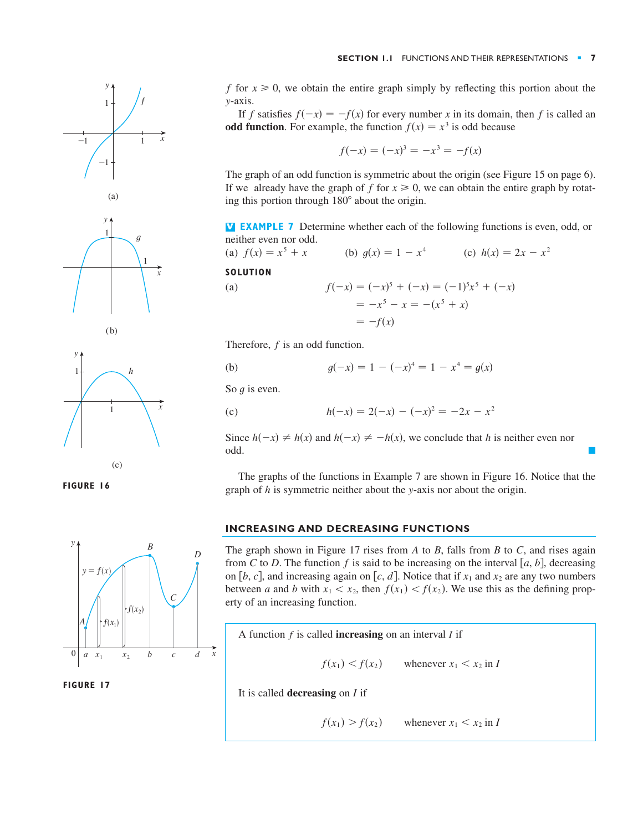









*f* for  $x \ge 0$ , we obtain the entire graph simply by reflecting this portion about the -axis. *y*

If f satisfies  $f(-x) = -f(x)$  for every number x in its domain, then f is called an **odd function**. For example, the function  $f(x) = x^3$  is odd because

$$
f(-x) = (-x)^3 = -x^3 = -f(x)
$$

The graph of an odd function is symmetric about the origin (see Figure 15 on page 6). If we already have the graph of f for  $x \ge 0$ , we can obtain the entire graph by rotating this portion through  $180^{\circ}$  about the origin.

**EXAMPLE 7** Determine whether each of the following functions is even, odd, or **V** neither even nor odd.

(a)  $f(x) = x^5 + x$  <br> (b)  $g(x) = 1 - x^4$  <br> (c)  $h(x) = 2x - x^2$ **SOLUTION** (a)  $= -x^5 - x = -(x^5 + x)$  $f(-x) = (-x)^5 + (-x) = (-1)^5 x^5 + (-x)$ 

 $= -f(x)$ 

Therefore,  $f$  is an odd function.

(b) 
$$
g(-x) = 1 - (-x)^4 = 1 - x^4 = g(x)
$$

So  $g$  is even.

(c) 
$$
h(-x) = 2(-x) - (-x)^2 = -2x - x^2
$$

Since  $h(-x) \neq h(x)$  and  $h(-x) \neq -h(x)$ , we conclude that h is neither even nor odd. ■

The graphs of the functions in Example 7 are shown in Figure 16. Notice that the graph of *h* is symmetric neither about the *y*-axis nor about the origin.

## **INCREASING AND DECREASING FUNCTIONS**

The graph shown in Figure 17 rises from  $A$  to  $B$ , falls from  $B$  to  $C$ , and rises again from C to D. The function f is said to be increasing on the interval [a, b], decreasing on [b, c], and increasing again on [c, d]. Notice that if  $x_1$  and  $x_2$  are any two numbers between a and b with  $x_1 < x_2$ , then  $f(x_1) < f(x_2)$ . We use this as the defining property of an increasing function.

A function  $f$  is called **increasing** on an interval  $I$  if

 $f(x_1) < f(x_2)$  whenever  $x_1 < x_2$  in *I* 

It is called **decreasing** on *I* if

 $f(x_1) > f(x_2)$  whenever  $x_1 < x_2$  in *I*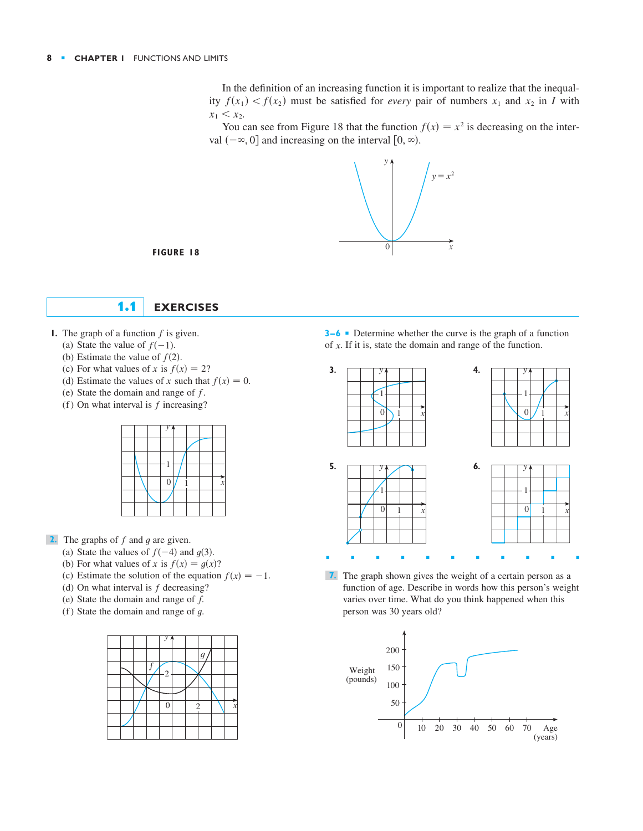In the definition of an increasing function it is important to realize that the inequality  $f(x_1) < f(x_2)$  must be satisfied for *every* pair of numbers  $x_1$  and  $x_2$  in *I* with  $x_1 < x_2$ .

You can see from Figure 18 that the function  $f(x) = x^2$  is decreasing on the interval  $(-\infty, 0]$  and increasing on the interval  $[0, \infty)$ .



# **1.1 EXERCISES**

- **1.** The graph of a function  $f$  is given.
	- (a) State the value of  $f(-1)$ .
	- (b) Estimate the value of  $f(2)$ .
	- (c) For what values of x is  $f(x) = 2$ ?
	- (d) Estimate the values of x such that  $f(x) = 0$ .
	- (e) State the domain and range of  $f$ .
	- (f) On what interval is  $f$  increasing?



- **2.** The graphs of  $f$  and  $g$  are given.
	- (a) State the values of  $f(-4)$  and  $g(3)$ .
	- (b) For what values of x is  $f(x) = g(x)$ ?
	- (c) Estimate the solution of the equation  $f(x) = -1$ .
	- (d) On what interval is  $f$  decreasing?
	- (e) State the domain and range of *f*.
	- (f) State the domain and range of  $g$ .



**3–6** ■ Determine whether the curve is the graph of a function of x. If it is, state the domain and range of the function.



**7.** The graph shown gives the weight of a certain person as a function of age. Describe in words how this person's weight varies over time. What do you think happened when this person was 30 years old?

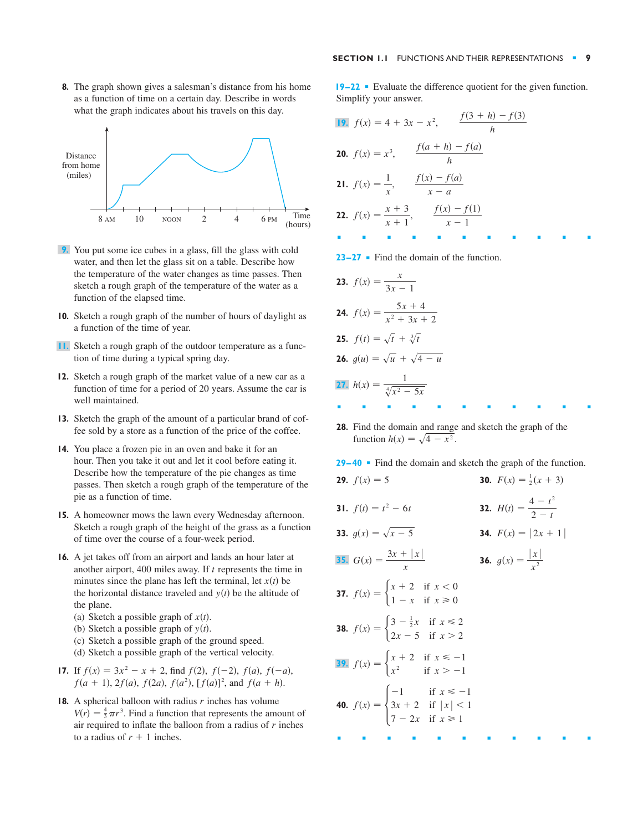**8.** The graph shown gives a salesman's distance from his home as a function of time on a certain day. Describe in words what the graph indicates about his travels on this day.



- You put some ice cubes in a glass, fill the glass with cold **9.** water, and then let the glass sit on a table. Describe how the temperature of the water changes as time passes. Then sketch a rough graph of the temperature of the water as a function of the elapsed time.
- **10.** Sketch a rough graph of the number of hours of daylight as a function of the time of year.
- Sketch a rough graph of the outdoor temperature as a func-**11.** tion of time during a typical spring day.
- **12.** Sketch a rough graph of the market value of a new car as a function of time for a period of 20 years. Assume the car is well maintained.
- **13.** Sketch the graph of the amount of a particular brand of coffee sold by a store as a function of the price of the coffee.
- **14.** You place a frozen pie in an oven and bake it for an hour. Then you take it out and let it cool before eating it. Describe how the temperature of the pie changes as time passes. Then sketch a rough graph of the temperature of the pie as a function of time.
- **15.** A homeowner mows the lawn every Wednesday afternoon. Sketch a rough graph of the height of the grass as a function of time over the course of a four-week period.
- **16.** A jet takes off from an airport and lands an hour later at another airport, 400 miles away. If t represents the time in minutes since the plane has left the terminal, let  $x(t)$  be the horizontal distance traveled and  $y(t)$  be the altitude of the plane.
	- (a) Sketch a possible graph of  $x(t)$ .
	- (b) Sketch a possible graph of  $y(t)$ .
	- (c) Sketch a possible graph of the ground speed.
	- (d) Sketch a possible graph of the vertical velocity.
- **17.** If  $f(x) = 3x^2 x + 2$ , find  $f(2)$ ,  $f(-2)$ ,  $f(a)$ ,  $f(-a)$ ,  $f(a + 1), 2f(a), f(2a), f(a^2), [f(a)]^2$ , and  $f(a + h)$ .
- **18.** A spherical balloon with radius r inches has volume  $V(r) = \frac{4}{3}\pi r^3$ . Find a function that represents the amount of air required to inflate the balloon from a radius of  $r$  inches to a radius of  $r + 1$  inches.

**19–22** ■ Evaluate the difference quotient for the given function. Simplify your answer.

19. 
$$
f(x) = 4 + 3x - x^2
$$
,  $\frac{f(3+h) - f(3)}{h}$   
\n20.  $f(x) = x^3$ ,  $\frac{f(a+h) - f(a)}{h}$   
\n21.  $f(x) = \frac{1}{x}$ ,  $\frac{f(x) - f(a)}{x - a}$   
\n22.  $f(x) = \frac{x + 3}{x + 1}$ ,  $\frac{f(x) - f(1)}{x - 1}$ 

**23–27** ■ Find the domain of the function.

23. 
$$
f(x) = \frac{x}{3x - 1}
$$
  
\n24.  $f(x) = \frac{5x + 4}{x^2 + 3x + 2}$   
\n25.  $f(t) = \sqrt{t} + \sqrt[3]{t}$   
\n26.  $g(u) = \sqrt{u} + \sqrt{4 - u}$   
\n27.  $h(x) = \frac{1}{\sqrt[4]{x^2 - 5x}}$ 

**28.** Find the domain and range and sketch the graph of the function  $h(x) = \sqrt{4 - x^2}$ .

**29–40** ■ Find the domain and sketch the graph of the function.

- **29.**  $f(x) = 5$  $f(x) = 5$  **30.**  $F(x) = \frac{1}{2}(x + 3)$
- **31.**  $f(t) = t^2 6t$  **32.**  $f(t) = t^2 - 6t$  32.  $H(t) = \frac{4 - t^2}{2 - t}$

**33.** 
$$
g(x) = \sqrt{x - 5}
$$
 **34.**  $F(x) = |2x + 1|$ 

**35.** 
$$
G(x) = \frac{3x + |x|}{x}
$$
 **36.**  $g(x) = \frac{|x|}{x^2}$ 

**37.** 
$$
f(x) = \begin{cases} x + 2 & \text{if } x < 0 \\ 1 - x & \text{if } x \ge 0 \end{cases}
$$
  
**38.**  $f(x) = \begin{cases} 3 - \frac{1}{2}x & \text{if } x \le 2 \\ 2x - 5 & \text{if } x > 2 \end{cases}$ 

39. 
$$
f(x) = \begin{cases} x + 2 & \text{if } x \le -1 \\ x^2 & \text{if } x > -1 \end{cases}
$$
  
40. 
$$
f(x) = \begin{cases} -1 & \text{if } x \le -1 \\ 3x + 2 & \text{if } |x| < 1 \\ 7 - 2x & \text{if } x \ge 1 \end{cases}
$$

■■■■■■■■■■■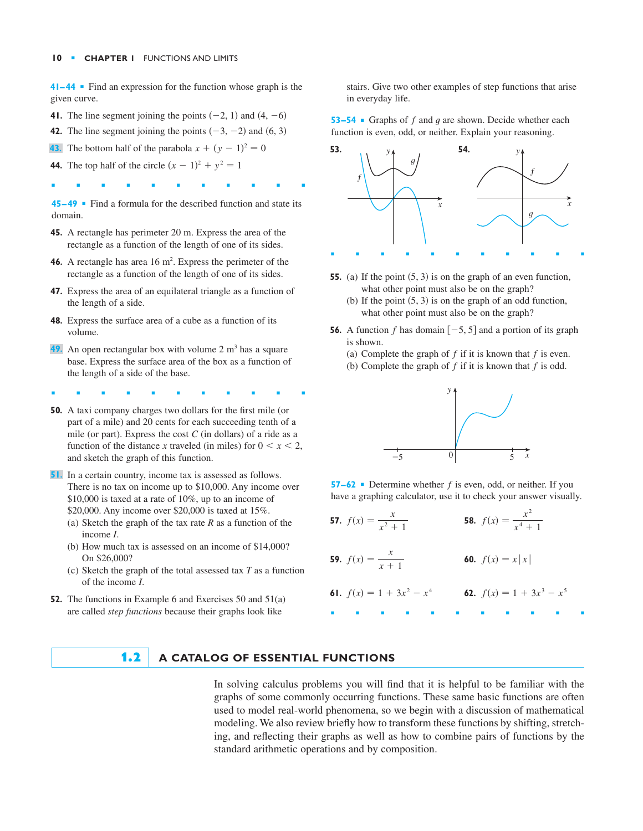**41–44** ■ Find an expression for the function whose graph is the given curve.

- **41.** The line segment joining the points  $(-2, 1)$  and  $(4, -6)$
- **42.** The line segment joining the points  $(-3, -2)$  and  $(6, 3)$
- **43.** The bottom half of the parabola  $x + (y 1)^2 = 0$
- **44.** The top half of the circle  $(x 1)^2 + y^2 = 1$
- ■■■■■■■■■■■

**45–49** ■ Find a formula for the described function and state its domain.

- **45.** A rectangle has perimeter 20 m. Express the area of the rectangle as a function of the length of one of its sides.
- **46.** A rectangle has area  $16 \text{ m}^2$ . Express the perimeter of the rectangle as a function of the length of one of its sides.
- **47.** Express the area of an equilateral triangle as a function of the length of a side.
- **48.** Express the surface area of a cube as a function of its volume.
- **49.** An open rectangular box with volume  $2 \text{ m}^3$  has a square base. Express the surface area of the box as a function of the length of a side of the base.
- ■■■■■■■■■■■
- **50.** A taxi company charges two dollars for the first mile (or part of a mile) and 20 cents for each succeeding tenth of a mile (or part). Express the cost  $C$  (in dollars) of a ride as a function of the distance x traveled (in miles) for  $0 < x < 2$ , and sketch the graph of this function.
- **51.** In a certain country, income tax is assessed as follows. There is no tax on income up to \$10,000. Any income over \$10,000 is taxed at a rate of 10%, up to an income of \$20,000. Any income over \$20,000 is taxed at 15%.
	- (a) Sketch the graph of the tax rate *R* as a function of the income *I*.
	- (b) How much tax is assessed on an income of \$14,000? On \$26,000?
	- (c) Sketch the graph of the total assessed tax *T* as a function of the income *I*.
- **52.** The functions in Example 6 and Exercises 50 and 51(a) are called *step functions* because their graphs look like

**1.2**

# **A CATALOG OF ESSENTIAL FUNCTIONS**

In solving calculus problems you will find that it is helpful to be familiar with the graphs of some commonly occurring functions. These same basic functions are often used to model real-world phenomena, so we begin with a discussion of mathematical modeling. We also review briefly how to transform these functions by shifting, stretching, and reflecting their graphs as well as how to combine pairs of functions by the standard arithmetic operations and by composition.

stairs. Give two other examples of step functions that arise in everyday life.

**53–54** • Graphs of  $f$  and  $g$  are shown. Decide whether each function is even, odd, or neither. Explain your reasoning.



- **55.** (a) If the point  $(5, 3)$  is on the graph of an even function, what other point must also be on the graph?
	- (b) If the point  $(5, 3)$  is on the graph of an odd function, what other point must also be on the graph?
- **56.** A function f has domain  $[-5, 5]$  and a portion of its graph is shown.
	- (a) Complete the graph of  $f$  if it is known that  $f$  is even.
	- (b) Complete the graph of  $f$  if it is known that  $f$  is odd.



**57–62** • Determine whether  $f$  is even, odd, or neither. If you have a graphing calculator, use it to check your answer visually.

| <b>57.</b> $f(x) = \frac{x}{x^2 + 1}$ | <b>58.</b> $f(x) = \frac{x^2}{x^4 + 1}$ |
|---------------------------------------|-----------------------------------------|
| <b>59.</b> $f(x) = \frac{x}{x+1}$     | 60. $f(x) = x  x $                      |
| 61. $f(x) = 1 + 3x^2 - x^4$           | 62. $f(x) = 1 + 3x^3 - x^5$             |
|                                       |                                         |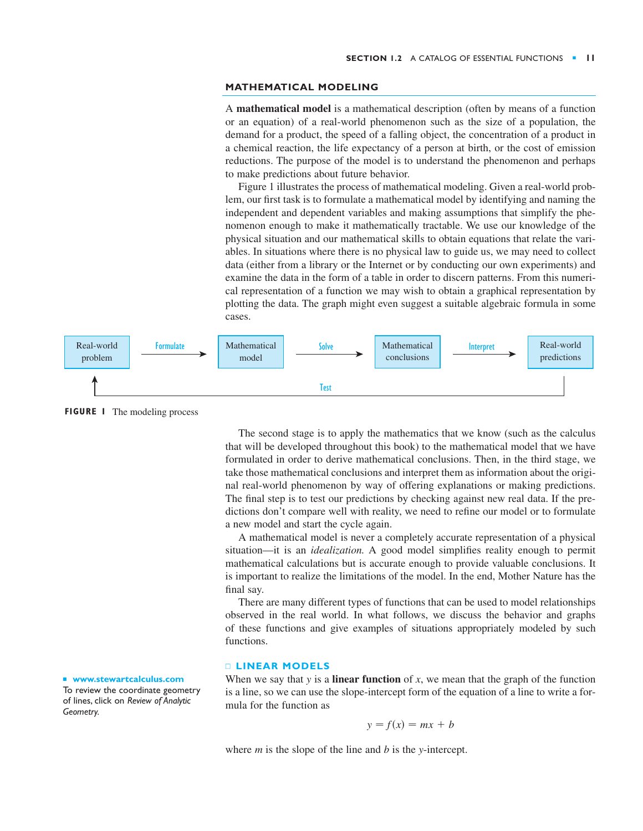# **MATHEMATICAL MODELING**

A **mathematical model** is a mathematical description (often by means of a function or an equation) of a real-world phenomenon such as the size of a population, the demand for a product, the speed of a falling object, the concentration of a product in a chemical reaction, the life expectancy of a person at birth, or the cost of emission reductions. The purpose of the model is to understand the phenomenon and perhaps to make predictions about future behavior.

Figure 1 illustrates the process of mathematical modeling. Given a real-world problem, our first task is to formulate a mathematical model by identifying and naming the independent and dependent variables and making assumptions that simplify the phenomenon enough to make it mathematically tractable. We use our knowledge of the physical situation and our mathematical skills to obtain equations that relate the variables. In situations where there is no physical law to guide us, we may need to collect data (either from a library or the Internet or by conducting our own experiments) and examine the data in the form of a table in order to discern patterns. From this numerical representation of a function we may wish to obtain a graphical representation by plotting the data. The graph might even suggest a suitable algebraic formula in some cases.



**FIGURE 1** The modeling process

The second stage is to apply the mathematics that we know (such as the calculus that will be developed throughout this book) to the mathematical model that we have formulated in order to derive mathematical conclusions. Then, in the third stage, we take those mathematical conclusions and interpret them as information about the original real-world phenomenon by way of offering explanations or making predictions. The final step is to test our predictions by checking against new real data. If the predictions don't compare well with reality, we need to refine our model or to formulate a new model and start the cycle again.

A mathematical model is never a completely accurate representation of a physical situation—it is an *idealization.* A good model simplifies reality enough to permit mathematical calculations but is accurate enough to provide valuable conclusions. It is important to realize the limitations of the model. In the end, Mother Nature has the final say.

There are many different types of functions that can be used to model relationships observed in the real world. In what follows, we discuss the behavior and graphs of these functions and give examples of situations appropriately modeled by such functions.

# ■ **LINEAR MODELS**

When we say that  $y$  is a **linear function** of  $x$ , we mean that the graph of the function is a line, so we can use the slope-intercept form of the equation of a line to write a formula for the function as

$$
y = f(x) = mx + b
$$

where *m* is the slope of the line and *b* is the *y*-intercept.

#### ■ **www.stewartcalculus.com**

To review the coordinate geometry of lines, click on *Review of Analytic Geometry.*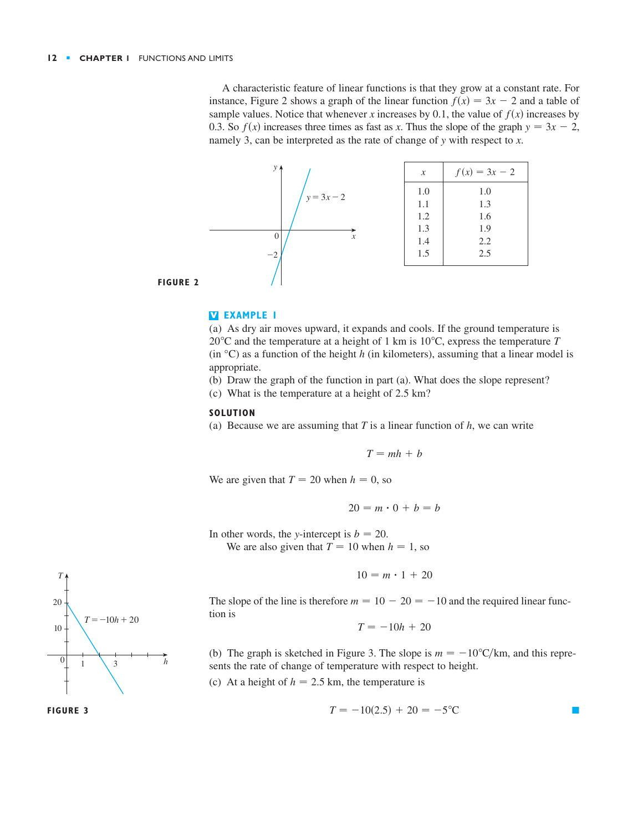A characteristic feature of linear functions is that they grow at a constant rate. For instance, Figure 2 shows a graph of the linear function  $f(x) = 3x - 2$  and a table of sample values. Notice that whenever *x* increases by 0.1, the value of  $f(x)$  increases by 0.3. So  $f(x)$  increases three times as fast as *x*. Thus the slope of the graph  $y = 3x - 2$ , namely 3, can be interpreted as the rate of change of *y* with respect to *x*.



**FIGURE 2**

# **EXAMPLE 1 V**

(a) As dry air moves upward, it expands and cools. If the ground temperature is  $20^{\circ}$ C and the temperature at a height of 1 km is  $10^{\circ}$ C, express the temperature *T* (in  $^{\circ}$ C) as a function of the height *h* (in kilometers), assuming that a linear model is appropriate.

(b) Draw the graph of the function in part (a). What does the slope represent?

(c) What is the temperature at a height of 2.5 km?

# **SOLUTION**

(a) Because we are assuming that *T* is a linear function of *h*, we can write

$$
T = mh + b
$$

We are given that  $T = 20$  when  $h = 0$ , so

$$
20 = m \cdot 0 + b = b
$$

In other words, the *y*-intercept is  $b = 20$ .

We are also given that  $T = 10$  when  $h = 1$ , so

$$
10 = m \cdot 1 + 20
$$

The slope of the line is therefore  $m = 10 - 20 = -10$  and the required linear function is

$$
T = -10h + 20
$$

(b) The graph is sketched in Figure 3. The slope is  $m = -10^{\circ}C/km$ , and this represents the rate of change of temperature with respect to height.

(c) At a height of  $h = 2.5$  km, the temperature is

$$
T = -10(2.5) + 20 = -5^{\circ}C
$$

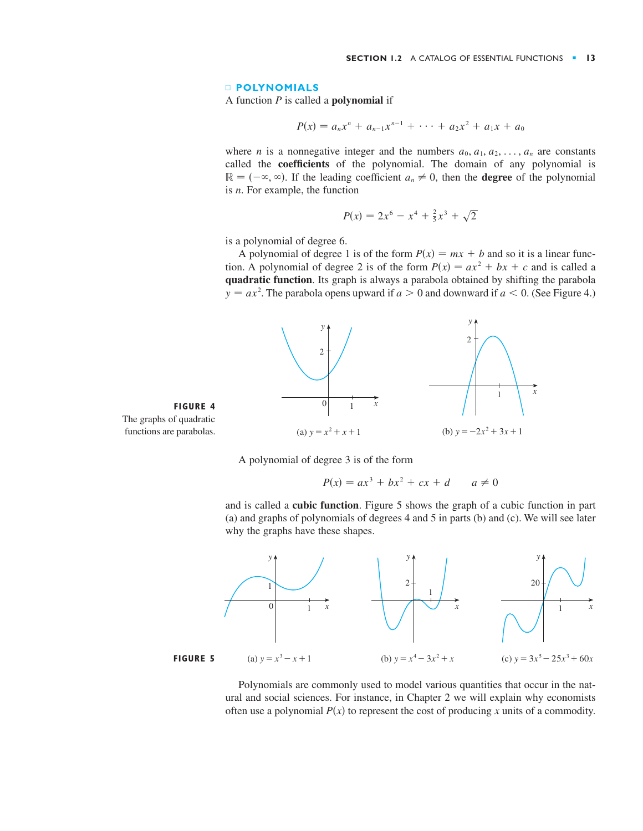# ■ **POLYNOMIALS**

A function *P* is called a **polynomial** if

$$
P(x) = a_n x^n + a_{n-1} x^{n-1} + \cdots + a_2 x^2 + a_1 x + a_0
$$

where *n* is a nonnegative integer and the numbers  $a_0, a_1, a_2, \ldots, a_n$  are constants called the **coefficients** of the polynomial. The domain of any polynomial is  $\mathbb{R} = (-\infty, \infty)$ . If the leading coefficient  $a_n \neq 0$ , then the **degree** of the polynomial is *n*. For example, the function

$$
P(x) = 2x^6 - x^4 + \frac{2}{5}x^3 + \sqrt{2}
$$

is a polynomial of degree 6.

A polynomial of degree 1 is of the form  $P(x) = mx + b$  and so it is a linear function. A polynomial of degree 2 is of the form  $P(x) = ax^2 + bx + c$  and is called a **quadratic function**. Its graph is always a parabola obtained by shifting the parabola  $y = ax^2$ . The parabola opens upward if  $a > 0$  and downward if  $a < 0$ . (See Figure 4.)



The graphs of quadratic functions are parabolas.

A polynomial of degree 3 is of the form

$$
P(x) = ax^3 + bx^2 + cx + d \qquad a \neq 0
$$

and is called a **cubic function**. Figure 5 shows the graph of a cubic function in part (a) and graphs of polynomials of degrees 4 and 5 in parts (b) and (c). We will see later why the graphs have these shapes.



Polynomials are commonly used to model various quantities that occur in the natural and social sciences. For instance, in Chapter 2 we will explain why economists often use a polynomial  $P(x)$  to represent the cost of producing x units of a commodity.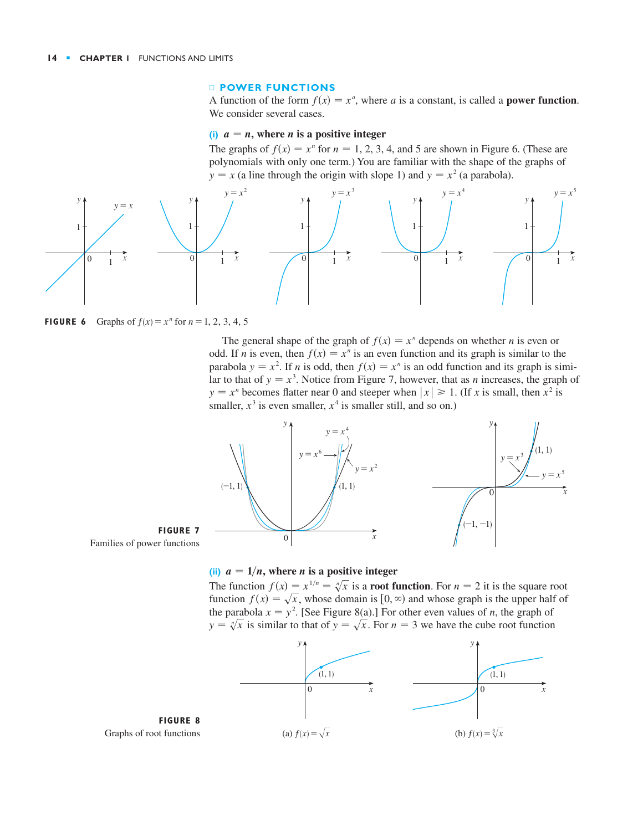# ■ **POWER FUNCTIONS**

A function of the form  $f(x) = x^a$ , where a is a constant, is called a **power function**. We consider several cases.

# (i)  $a = n$ , where *n* is a positive integer

The graphs of  $f(x) = x^n$  for  $n = 1, 2, 3, 4$ , and 5 are shown in Figure 6. (These are polynomials with only one term.) You are familiar with the shape of the graphs of  $y = x$  (a line through the origin with slope 1) and  $y = x^2$  (a parabola).



**FIGURE 6** Graphs of  $f(x) = x^n$  for  $n = 1, 2, 3, 4, 5$ 

The general shape of the graph of  $f(x) = x^n$  depends on whether *n* is even or odd. If *n* is even, then  $f(x) = x^n$  is an even function and its graph is similar to the parabola  $y = x^2$ . If *n* is odd, then  $f(x) = x^n$  is an odd function and its graph is similar to that of  $y = x^3$ . Notice from Figure 7, however, that as *n* increases, the graph of  $\mathbf{y} = x^n$  becomes flatter near 0 and steeper when  $|x| \ge 1$ . (If x is small, then  $x^2$  is smaller,  $x^3$  is even smaller,  $x^4$  is smaller still, and so on.)



# (ii)  $a = 1/n$ , where *n* is a positive integer

The function  $f(x) = x^{1/n} = \sqrt[n]{x}$  is a **root function**. For  $n = 2$  it is the square root function  $f(x) = \sqrt{x}$ , whose domain is  $[0, \infty)$  and whose graph is the upper half of the parabola  $x = y^2$ . [See Figure 8(a).] For other even values of *n*, the graph of  $y = \sqrt[n]{x}$  is similar to that of  $y = \sqrt{x}$ . For  $n = 3$  we have the cube root function



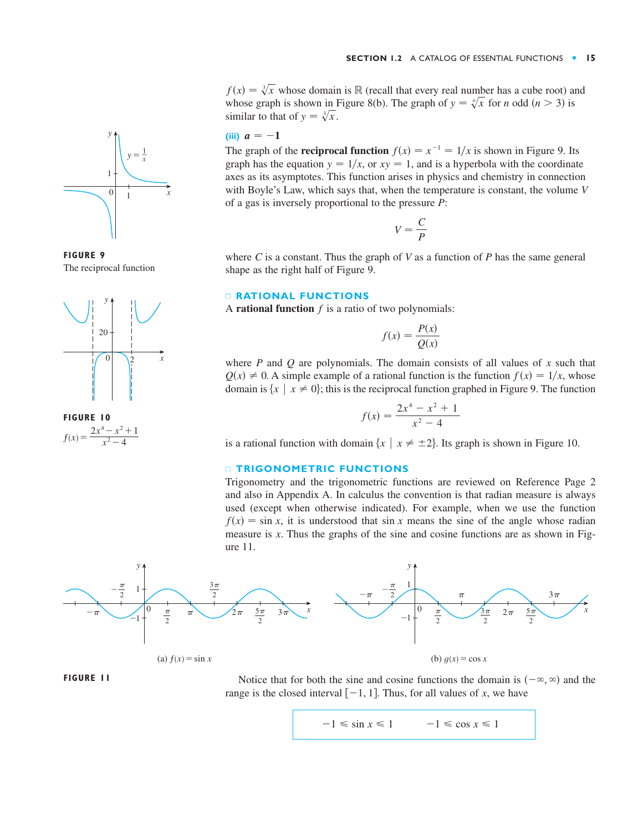$f(x) = \sqrt[3]{x}$  whose domain is R (recall that every real number has a cube root) and whose graph is shown in Figure 8(b). The graph of  $y = \sqrt[n]{x}$  for *n* odd (*n* > 3) is similar to that of  $y = \sqrt[3]{x}$ .

# (iii)  $a = -1$

The graph of the **reciprocal function**  $f(x) = x^{-1} = 1/x$  is shown in Figure 9. Its graph has the equation  $y = 1/x$ , or  $xy = 1$ , and is a hyperbola with the coordinate axes as its asymptotes. This function arises in physics and chemistry in connection with Boyle's Law, which says that, when the temperature is constant, the volume *V* of a gas is inversely proportional to the pressure  $P$ :

$$
V = \frac{C}{P}
$$

where *C* is a constant. Thus the graph of *V* as a function of *P* has the same general shape as the right half of Figure 9.

# ■ **RATIONAL FUNCTIONS**

A **rational function**  $f$  is a ratio of two polynomials:

$$
f(x) = \frac{P(x)}{Q(x)}
$$

where P and Q are polynomials. The domain consists of all values of x such that  $Q(x) \neq 0$ . A simple example of a rational function is the function  $f(x) = 1/x$ , whose domain is  $\{x \mid x \neq 0\}$ ; this is the reciprocal function graphed in Figure 9. The function

$$
f(x) = \frac{2x^4 - x^2 + 1}{x^2 - 4}
$$

is a rational function with domain  $\{x \mid x \neq \pm 2\}$ . Its graph is shown in Figure 10.

# ■ **TRIGONOMETRIC FUNCTIONS**

Trigonometry and the trigonometric functions are reviewed on Reference Page 2 and also in Appendix A. In calculus the convention is that radian measure is always used (except when otherwise indicated). For example, when we use the function  $f(x) = \sin x$ , it is understood that  $\sin x$  means the sine of the angle whose radian measure is x. Thus the graphs of the sine and cosine functions are as shown in Figure 11.





Notice that for both the sine and cosine functions the domain is  $(-\infty, \infty)$  and the range is the closed interval  $[-1, 1]$ . Thus, for all values of x, we have





**FIGURE 9** The reciprocal function



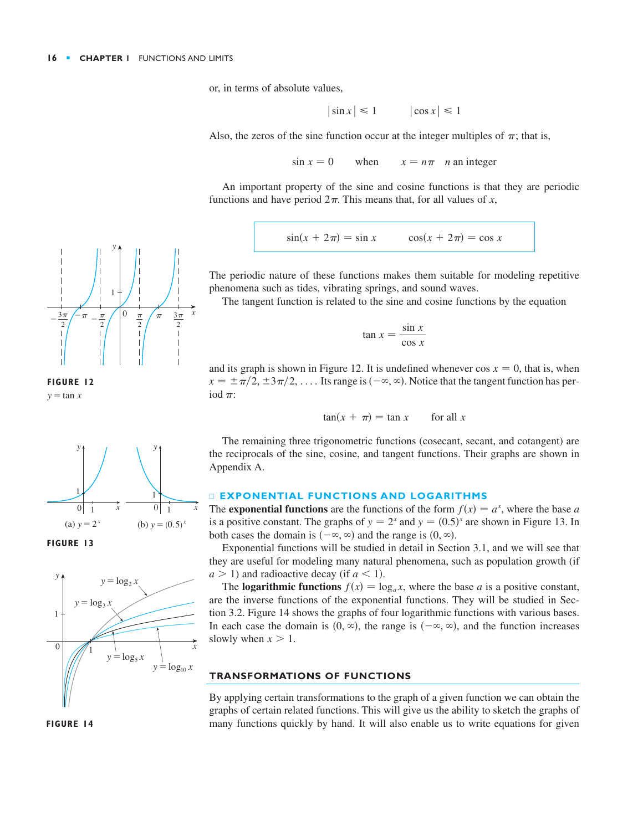or, in terms of absolute values,

$$
|\sin x| \le 1 \qquad |\cos x| \le 1
$$

Also, the zeros of the sine function occur at the integer multiples of  $\pi$ ; that is,

 $\sin x = 0$  when  $x = n\pi$  *n* an integer

An important property of the sine and cosine functions is that they are periodic functions and have period  $2\pi$ . This means that, for all values of x,

$$
\sin(x + 2\pi) = \sin x \qquad \cos(x + 2\pi) = \cos x
$$

The periodic nature of these functions makes them suitable for modeling repetitive phenomena such as tides, vibrating springs, and sound waves.

The tangent function is related to the sine and cosine functions by the equation

$$
\tan x = \frac{\sin x}{\cos x}
$$

and its graph is shown in Figure 12. It is undefined whenever  $\cos x = 0$ , that is, when  $x = \pm \pi/2, \pm 3\pi/2, \ldots$  Its range is  $(-\infty, \infty)$ . Notice that the tangent function has per- $\mathrm{i}$ od  $\pi$ :

$$
\tan(x + \pi) = \tan x \qquad \text{for all } x
$$

The remaining three trigonometric functions (cosecant, secant, and cotangent) are the reciprocals of the sine, cosine, and tangent functions. Their graphs are shown in Appendix A.

# ■ **EXPONENTIAL FUNCTIONS AND LOGARITHMS**

The **exponential functions** are the functions of the form  $f(x) = a^x$ , where the base *a* is a positive constant. The graphs of  $y = 2^x$  and  $y = (0.5)^x$  are shown in Figure 13. In both cases the domain is  $(-\infty, \infty)$  and the range is  $(0, \infty)$ .

Exponential functions will be studied in detail in Section 3.1, and we will see that they are useful for modeling many natural phenomena, such as population growth (if  $a > 1$ ) and radioactive decay (if  $a < 1$ ).

The **logarithmic functions**  $f(x) = \log_a x$ , where the base *a* is a positive constant, are the inverse functions of the exponential functions. They will be studied in Section 3.2. Figure 14 shows the graphs of four logarithmic functions with various bases. In each case the domain is  $(0, \infty)$ , the range is  $(-\infty, \infty)$ , and the function increases slowly when  $x > 1$ .

# **TRANSFORMATIONS OF FUNCTIONS**

By applying certain transformations to the graph of a given function we can obtain the graphs of certain related functions. This will give us the ability to sketch the graphs of many functions quickly by hand. It will also enable us to write equations for given



y







**FIGURE 14**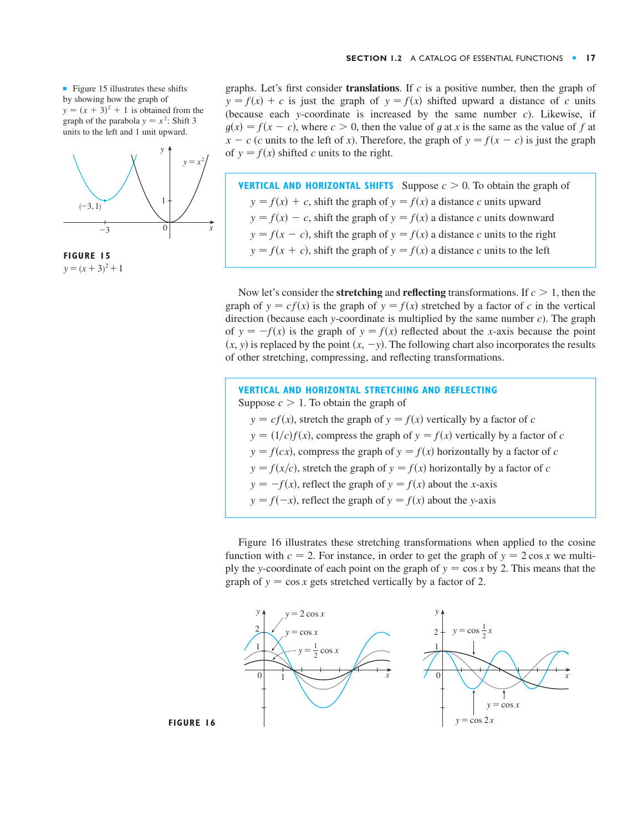■ Figure 15 illustrates these shifts by showing how the graph of  $y = (x + 3)^2 + 1$  is obtained from the graph of the parabola  $y = x^2$ : Shift 3 units to the left and 1 unit upward.



 $y=(x+3)^2+1$ 

graphs. Let's first consider **translations**. If *c* is a positive number, then the graph of  $y = f(x) + c$  is just the graph of  $y = f(x)$  shifted upward a distance of *c* units (because each *y*-coordinate is increased by the same number *c*). Likewise, if  $g(x) = f(x - c)$ , where  $c > 0$ , then the value of g at x is the same as the value of f at  $x - c$  *(c* units to the left of *x*). Therefore, the graph of  $y = f(x - c)$  is just the graph of  $y = f(x)$  shifted c units to the right.

**VERTICAL AND HORIZONTAL SHIFTS** Suppose  $c > 0$ . To obtain the graph of  $y = f(x + c)$ , shift the graph of  $y = f(x)$  a distance *c* units to the left  $y = f(x - c)$ , shift the graph of  $y = f(x)$  a distance *c* units to the right  $y = f(x) - c$ , shift the graph of  $y = f(x)$  a distance *c* units downward  $y = f(x) + c$ , shift the graph of  $y = f(x)$  a distance *c* units upward

Now let's consider the **stretching** and **reflecting** transformations. If  $c > 1$ , then the graph of  $y = cf(x)$  is the graph of  $y = f(x)$  stretched by a factor of *c* in the vertical direction (because each *y*-coordinate is multiplied by the same number *c*). The graph of  $y = -f(x)$  is the graph of  $y = f(x)$  reflected about the *x*-axis because the point  $(x, y)$  is replaced by the point  $(x, -y)$ . The following chart also incorporates the results of other stretching, compressing, and reflecting transformations.

# **VERTICAL AND HORIZONTAL STRETCHING AND REFLECTING** Suppose  $c > 1$ . To obtain the graph of  $y = f(x/c)$ , stretch the graph of  $y = f(x)$  horizontally by a factor of *c*  $y = f(cx)$ , compress the graph of  $y = f(x)$  horizontally by a factor of *c*  $y = (1/c)f(x)$ , compress the graph of  $y = f(x)$  vertically by a factor of *c*  $y = cf(x)$ , stretch the graph of  $y = f(x)$  vertically by a factor of *c*

- $y = -f(x)$ , reflect the graph of  $y = f(x)$  about the *x*-axis
- $y = f(-x)$ , reflect the graph of  $y = f(x)$  about the *y*-axis

Figure 16 illustrates these stretching transformations when applied to the cosine function with  $c = 2$ . For instance, in order to get the graph of  $y = 2 \cos x$  we multiply the *y*-coordinate of each point on the graph of  $y = cos x$  by 2. This means that the graph of  $y = \cos x$  gets stretched vertically by a factor of 2.



**FIGURE 16**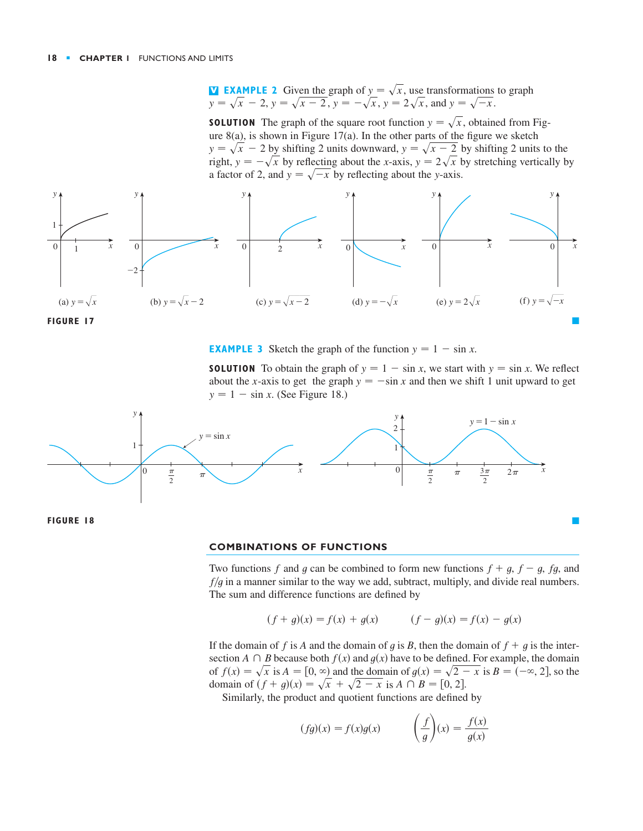**EXAMPLE 2** Given the graph of  $y = \sqrt{x}$ , use transformations to graph  $y = \sqrt{x - 2}$ ,  $y = \sqrt{x - 2}$ ,  $y = -\sqrt{x}$ ,  $y = 2\sqrt{x}$ , and  $y = \sqrt{-x}$ . **V EXAMPLE 2** Given the graph of  $y = \sqrt{x}$ 

**SOLUTION** The graph of the square root function  $y = \sqrt{x}$ , obtained from Figure  $8(a)$ , is shown in Figure 17(a). In the other parts of the figure we sketch by shifting 2 units downward,  $y = \sqrt{x} - 2$  by shifting 2 units to the right,  $y = -\sqrt{x}$  by reflecting about the *x*-axis,  $y = 2\sqrt{x}$  by stretching vertically by a factor of 2, and  $y = \sqrt{-x}$  by reflecting about the *y*-axis.  $y = \sqrt{x - 2}$  by shifting 2 units downward,  $y = \sqrt{x - 2}$ 



**EXAMPLE 3** Sketch the graph of the function  $y = 1 - \sin x$ .

**SOLUTION** To obtain the graph of  $y = 1 - \sin x$ , we start with  $y = \sin x$ . We reflect about the *x*-axis to get the graph  $y = -\sin x$  and then we shift 1 unit upward to get  $y = 1 - \sin x$ . (See Figure 18.)



# **COMBINATIONS OF FUNCTIONS**

Two functions f and g can be combined to form new functions  $f + g$ ,  $f - g$ , fg, and  $f/g$  in a manner similar to the way we add, subtract, multiply, and divide real numbers. The sum and difference functions are defined by

$$
(f+g)(x) = f(x) + g(x) \qquad (f-g)(x) = f(x) - g(x)
$$

If the domain of f is A and the domain of g is B, then the domain of  $f + g$  is the intersection  $A \cap B$  because both  $f(x)$  and  $g(x)$  have to be defined. For example, the domain of  $f(x) = \sqrt{x}$  is  $A = [0, \infty)$  and the domain of  $g(x) = \sqrt{2 - x}$  is  $B = (-\infty, 2]$ , so the domain of  $(f + g)(x) = \sqrt{x} + \sqrt{2} - x$  is  $A \cap B = [0, 2]$ .

Similarly, the product and quotient functions are defined by

$$
(fg)(x) = f(x)g(x) \qquad \left(\frac{f}{g}\right)(x) = \frac{f(x)}{g(x)}
$$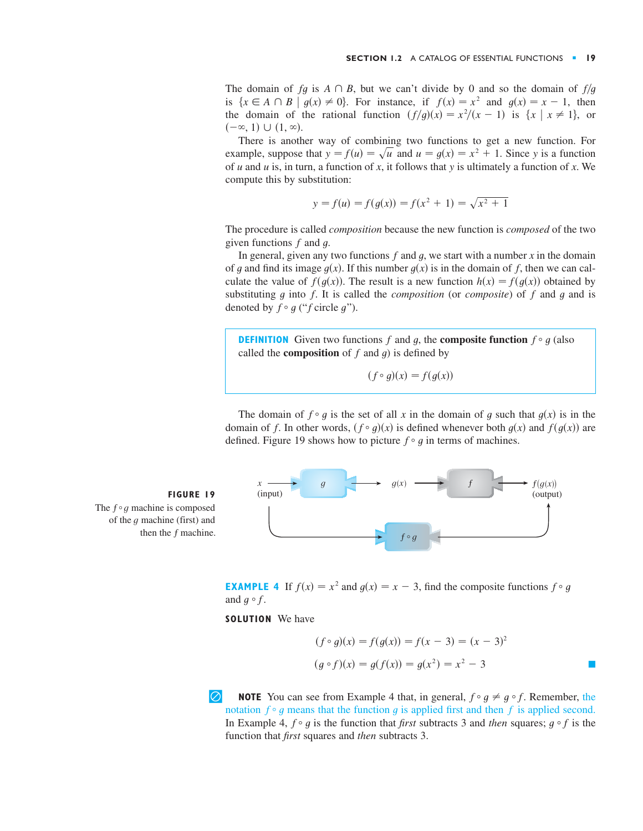The domain of  $fg$  is  $A \cap B$ , but we can't divide by 0 and so the domain of  $f/g$ is  $\{x \in A \cap B \mid g(x) \neq 0\}$ . For instance, if  $f(x) = x^2$  and  $g(x) = x - 1$ , then the domain of the rational function  $(f/g)(x) = x^2/(x - 1)$  is  $\{x \mid x \neq 1\}$ , or  $(-\infty, 1) \cup (1, \infty).$ 

There is another way of combining two functions to get a new function. For example, suppose that  $y = f(u) = \sqrt{u}$  and  $u = g(x) = x^2 + 1$ . Since *y* is a function of  $u$  and  $u$  is, in turn, a function of  $x$ , it follows that  $y$  is ultimately a function of  $x$ . We compute this by substitution:

$$
y = f(u) = f(g(x)) = f(x^2 + 1) = \sqrt{x^2 + 1}
$$

The procedure is called *composition* because the new function is *composed* of the two given functions  $f$  and  $g$ .

In general, given any two functions  $f$  and  $g$ , we start with a number  $x$  in the domain of g and find its image  $g(x)$ . If this number  $g(x)$  is in the domain of f, then we can calculate the value of  $f(g(x))$ . The result is a new function  $h(x) = f(g(x))$  obtained by substituting  $g$  into  $f$ . It is called the *composition* (or *composite*) of  $f$  and  $g$  and is denoted by  $f \circ g$  ("f circle  $g$ ").

**DEFINITION** Given two functions  $f$  and  $g$ , the **composite function**  $f \circ g$  (also called the **composition** of  $f$  and  $g$ ) is defined by

$$
(f \circ g)(x) = f(g(x))
$$

The domain of  $f \circ g$  is the set of all x in the domain of g such that  $g(x)$  is in the domain of f. In other words,  $(f \circ g)(x)$  is defined whenever both  $g(x)$  and  $f(g(x))$  are defined. Figure 19 shows how to picture  $f \circ g$  in terms of machines.



**FIGURE 19** The  $f \circ g$  machine is composed of the  $g$  machine (first) and then the f machine.

**EXAMPLE 4** If  $f(x) = x^2$  and  $g(x) = x - 3$ , find the composite functions  $f \circ g$ and  $g \circ f$ .

**SOLUTION** We have

$$
(f \circ g)(x) = f(g(x)) = f(x - 3) = (x - 3)^2
$$

$$
(g \circ f)(x) = g(f(x)) = g(x^2) = x^2 - 3
$$

 $\bullet$  **NOTE** You can see from Example 4 that, in general,  $f \circ g \neq g \circ f$ . Remember, the notation  $f \circ g$  means that the function g is applied first and then f is applied second. In Example 4,  $f \circ g$  is the function that *first* subtracts 3 and *then* squares;  $g \circ f$  is the function that *first* squares and *then* subtracts 3.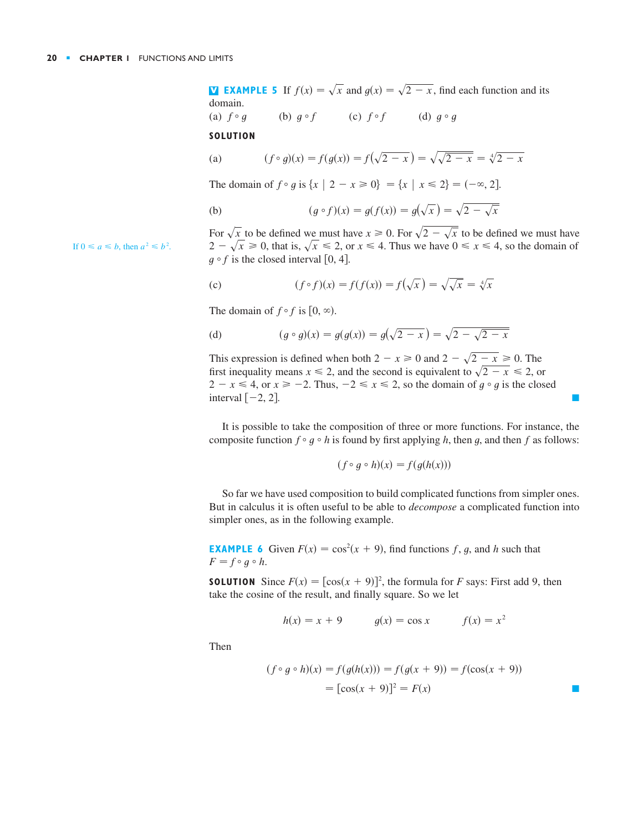**V EXAMPLE 5** If  $f(x) = \sqrt{x}$  and  $g(x) = \sqrt{2} - x$ , find each function and its domain.

(a)  $f \circ g$  (b)  $g \circ f$  (c)  $f \circ f$  (d)  $g \circ g$ 

**SOLUTION**

(a) 
$$
(f \circ g)(x) = f(g(x)) = f(\sqrt{2-x}) = \sqrt{\sqrt{2-x}} = \sqrt[4]{2-x}
$$

The domain of  $f \circ g$  is  $\{x \mid 2 - x \ge 0\} = \{x \mid x \le 2\} = (-\infty, 2].$ 

(b) 
$$
(g \circ f)(x) = g(f(x)) = g(\sqrt{x}) = \sqrt{2 - \sqrt{x}}
$$

For  $\sqrt{x}$  to be defined we must have  $x \ge 0$ . For  $\sqrt{2} - \sqrt{x}$  to be defined we must have If  $0 \le a \le b$ , then  $a^2 \le b^2$ .  $2 - \sqrt{x} \ge 0$ , that is,  $\sqrt{x} \le 2$ , or  $x \le 4$ . Thus we have  $0 \le x \le 4$ , so the domain of  $g \circ f$  is the closed interval [0, 4].

(c) 
$$
(f \circ f)(x) = f(f(x)) = f(\sqrt{x}) = \sqrt{\sqrt{x}} = \sqrt[4]{x}
$$

The domain of  $f \circ f$  is  $[0, \infty)$ .

(d) 
$$
(g \circ g)(x) = g(g(x)) = g(\sqrt{2-x}) = \sqrt{2-\sqrt{2-x}}
$$

This expression is defined when both  $2 - x \ge 0$  and  $2 - \sqrt{2 - x} \ge 0$ . The first inequality means  $x \le 2$ , and the second is equivalent to  $\sqrt{2} - x \le 2$ , or  $2 - x \le 4$ , or  $x \ge -2$ . Thus,  $-2 \le x \le 2$ , so the domain of  $g \circ g$  is the closed  $\blacksquare$  .  $\blacksquare$ 

It is possible to take the composition of three or more functions. For instance, the composite function  $f \circ g \circ h$  is found by first applying h, then g, and then f as follows:

$$
(f \circ g \circ h)(x) = f(g(h(x)))
$$

So far we have used composition to build complicated functions from simpler ones. But in calculus it is often useful to be able to *decompose* a complicated function into simpler ones, as in the following example.

**EXAMPLE 6** Given  $F(x) = \cos^2(x + 9)$ , find functions f, g, and h such that  $F = f \circ g \circ h.$ 

**SOLUTION** Since  $F(x) = [\cos(x + 9)]^2$ , the formula for *F* says: First add 9, then take the cosine of the result, and finally square. So we let

$$
h(x) = x + 9
$$
  $g(x) = \cos x$   $f(x) = x^2$ 

Then

$$
(f \circ g \circ h)(x) = f(g(h(x))) = f(g(x + 9)) = f(\cos(x + 9))
$$

$$
= [\cos(x + 9)]^2 = F(x)
$$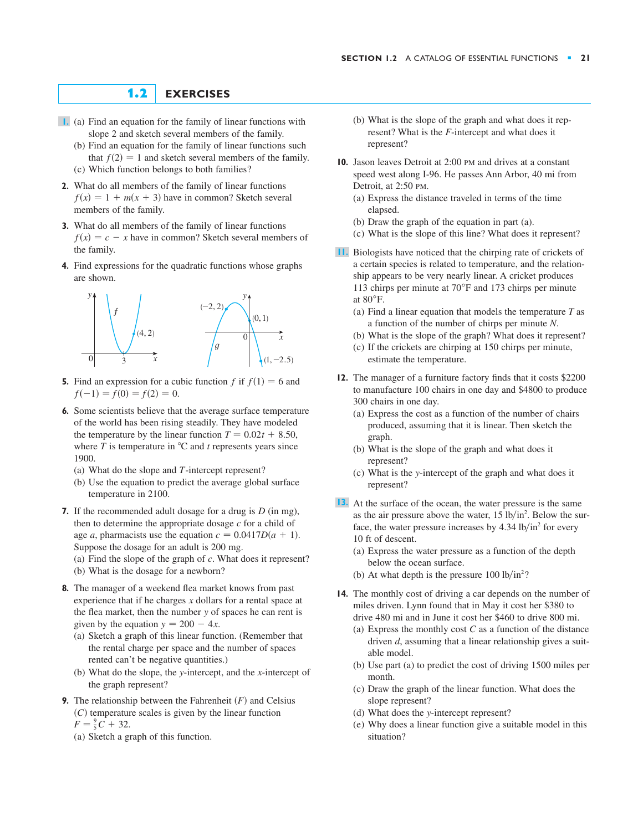# **1.2 EXERCISES**

- (a) Find an equation for the family of linear functions with **1.** slope 2 and sketch several members of the family.
	- (b) Find an equation for the family of linear functions such that  $f(2) = 1$  and sketch several members of the family. (c) Which function belongs to both families?
- **2.** What do all members of the family of linear functions  $f(x) = 1 + m(x + 3)$  have in common? Sketch several members of the family.
- **3.** What do all members of the family of linear functions  $f(x) = c - x$  have in common? Sketch several members of the family.
- **4.** Find expressions for the quadratic functions whose graphs are shown.



- **5.** Find an expression for a cubic function  $f$  if  $f(1) = 6$  and  $f(-1) = f(0) = f(2) = 0.$
- **6.** Some scientists believe that the average surface temperature of the world has been rising steadily. They have modeled the temperature by the linear function  $T = 0.02t + 8.50$ , where  $T$  is temperature in  ${}^{\circ}C$  and t represents years since 1900.
	- (a) What do the slope and  $T$ -intercept represent?
	- (b) Use the equation to predict the average global surface temperature in 2100.
- **7.** If the recommended adult dosage for a drug is  $D$  (in mg), then to determine the appropriate dosage  $c$  for a child of age *a*, pharmacists use the equation  $c = 0.0417D(a + 1)$ . Suppose the dosage for an adult is 200 mg.
	- (a) Find the slope of the graph of  $c$ . What does it represent?
	- (b) What is the dosage for a newborn?
- **8.** The manager of a weekend flea market knows from past experience that if he charges  $x$  dollars for a rental space at the flea market, then the number y of spaces he can rent is given by the equation  $y = 200 - 4x$ .
	- (a) Sketch a graph of this linear function. (Remember that the rental charge per space and the number of spaces rented can't be negative quantities.)
	- (b) What do the slope, the *y*-intercept, and the *x*-intercept of the graph represent?
- **9.** The relationship between the Fahrenheit  $(F)$  and Celsius  $(C)$  temperature scales is given by the linear function  $F = \frac{9}{5}C + 32.$ 
	- (a) Sketch a graph of this function.
- (b) What is the slope of the graph and what does it represent? What is the *F*-intercept and what does it represent?
- **10.** Jason leaves Detroit at 2:00 PM and drives at a constant speed west along I-96. He passes Ann Arbor, 40 mi from Detroit, at 2:50 PM.
	- (a) Express the distance traveled in terms of the time elapsed.
	- (b) Draw the graph of the equation in part (a).
	- (c) What is the slope of this line? What does it represent?
- **11.** Biologists have noticed that the chirping rate of crickets of a certain species is related to temperature, and the relationship appears to be very nearly linear. A cricket produces 113 chirps per minute at  $70^{\circ}$ F and 173 chirps per minute at  $80^{\circ}$ F.
	- (a) Find a linear equation that models the temperature *T* as a function of the number of chirps per minute *N*.
	- (b) What is the slope of the graph? What does it represent?
	- (c) If the crickets are chirping at 150 chirps per minute, estimate the temperature.
- **12.** The manager of a furniture factory finds that it costs \$2200 to manufacture 100 chairs in one day and \$4800 to produce 300 chairs in one day.
	- (a) Express the cost as a function of the number of chairs produced, assuming that it is linear. Then sketch the graph.
	- (b) What is the slope of the graph and what does it represent?
	- (c) What is the *y*-intercept of the graph and what does it represent?
- 13. At the surface of the ocean, the water pressure is the same as the air pressure above the water,  $15 \frac{\text{lb}}{\text{in}^2}$ . Below the surface, the water pressure increases by  $4.34$  lb/in<sup>2</sup> for every 10 ft of descent.
	- (a) Express the water pressure as a function of the depth below the ocean surface.
	- (b) At what depth is the pressure  $100 \frac{\text{lb}}{\text{in}^2}$ ?
- **14.** The monthly cost of driving a car depends on the number of miles driven. Lynn found that in May it cost her \$380 to drive 480 mi and in June it cost her \$460 to drive 800 mi.
	- (a) Express the monthly cost  $C$  as a function of the distance driven  $d$ , assuming that a linear relationship gives a suitable model.
	- (b) Use part (a) to predict the cost of driving 1500 miles per month.
	- (c) Draw the graph of the linear function. What does the slope represent?
	- (d) What does the *y*-intercept represent?
	- (e) Why does a linear function give a suitable model in this situation?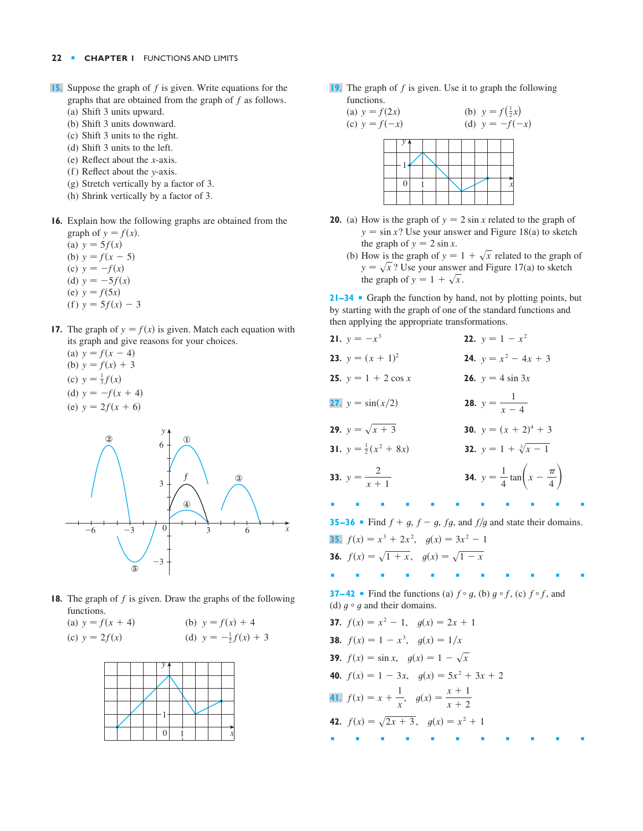- **15.** Suppose the graph of f is given. Write equations for the **19.** The graph of f graphs that are obtained from the graph of  $f$  as follows. (a) Shift 3 units upward.
	- (b) Shift 3 units downward.
	- (c) Shift 3 units to the right.
	- (d) Shift 3 units to the left.
	- (e) Reflect about the  $x$ -axis.
	- (f) Reflect about the y-axis.
	- (g) Stretch vertically by a factor of 3.
	- (h) Shrink vertically by a factor of 3.
	-
- **16.** Explain how the following graphs are obtained from the graph of  $y = f(x)$ .
	- (a)  $y = 5f(x)$ (b)  $y = f(x - 5)$
	- (c)  $y = -f(x)$
	- (d)  $y = -5f(x)$
	- (e)  $y = f(5x)$
	- (f)  $y = 5f(x) 3$
- **17.** The graph of  $y = f(x)$  is given. Match each equation with its graph and give reasons for your choices.
	- (a)  $y = f(x 4)$ (b)  $y = f(x) + 3$ (c)  $y = \frac{1}{3}f(x)$ (d)  $y = -f(x + 4)$ (e)  $y = 2f(x + 6)$



**18.** The graph of f is given. Draw the graphs of the following functions.

(a) 
$$
y = f(x + 4)
$$
  
\n(b)  $y = f(x) + 4$   
\n(c)  $y = 2f(x)$   
\n(d)  $y = -\frac{1}{2}f(x) + 3$ 



**19.** The graph of  $f$  is given. Use it to graph the following functions.



- **20.** (a) How is the graph of  $y = 2 \sin x$  related to the graph of  $y = \sin x$ ? Use your answer and Figure 18(a) to sketch the graph of  $y = 2 \sin x$ .
	- (b) How is the graph of  $y = 1 + \sqrt{x}$  related to the graph of  $y = \sqrt{x}$ ? Use your answer and Figure 17(a) to sketch the graph of  $y = 1 + \sqrt{x}$ .

**21–34** ■ Graph the function by hand, not by plotting points, but by starting with the graph of one of the standard functions and then applying the appropriate transformations.

| <b>21.</b> $y = -x^3$                  | <b>22.</b> $y = 1 - x^2$                                        |
|----------------------------------------|-----------------------------------------------------------------|
| <b>23.</b> $y = (x + 1)^2$             | <b>24.</b> $y = x^2 - 4x + 3$                                   |
| <b>25.</b> $y = 1 + 2 \cos x$          | <b>26.</b> $y = 4 \sin 3x$                                      |
| <b>27.</b> $y = sin(x/2)$              | <b>28.</b> $y = \frac{1}{x-4}$                                  |
| <b>29.</b> $y = \sqrt{x + 3}$          | <b>30.</b> $y = (x + 2)^4 + 3$                                  |
| <b>31.</b> $y = \frac{1}{2}(x^2 + 8x)$ | <b>32.</b> $y = 1 + \sqrt[3]{x - 1}$                            |
| <b>33.</b> $y = \frac{2}{x+1}$         | <b>34.</b> $y = \frac{1}{4} \tan\left(x - \frac{\pi}{4}\right)$ |
|                                        |                                                                 |

**35–36** • Find  $f + g$ ,  $f - g$ ,  $fg$ , and  $f/g$  and state their domains.

**35.**  $f(x) = x^3 + 2x^2$ ,  $g(x) = 3x^2 - 1$ **36.**  $f(x) = \sqrt{1 + x}$ ,  $g(x) = \sqrt{1 - x}$ 

■■■■■■■■■■■

**37–42** • Find the functions (a)  $f \circ g$ , (b)  $g \circ f$ , (c)  $f \circ f$ , and (d)  $g \circ g$  and their domains.

■■■■■■■■■■■

**37.**  $f(x) = x^2 - 1$ ,  $g(x) = 2x + 1$ **38.**  $f(x) = 1 - x^3$ ,  $g(x) = 1/x$ **39.**  $f(x) = \sin x$ ,  $g(x) = 1 - \sqrt{x}$ **40.**  $f(x) = 1 - 3x$ ,  $g(x) = 5x^2 + 3x + 2$ **41.**  $f(x) = x + \frac{1}{x}, \quad g(x) = \frac{x+1}{x+2}$ 

**42.** 
$$
f(x) = \sqrt{2x + 3}
$$
,  $g(x) = x^2 + 1$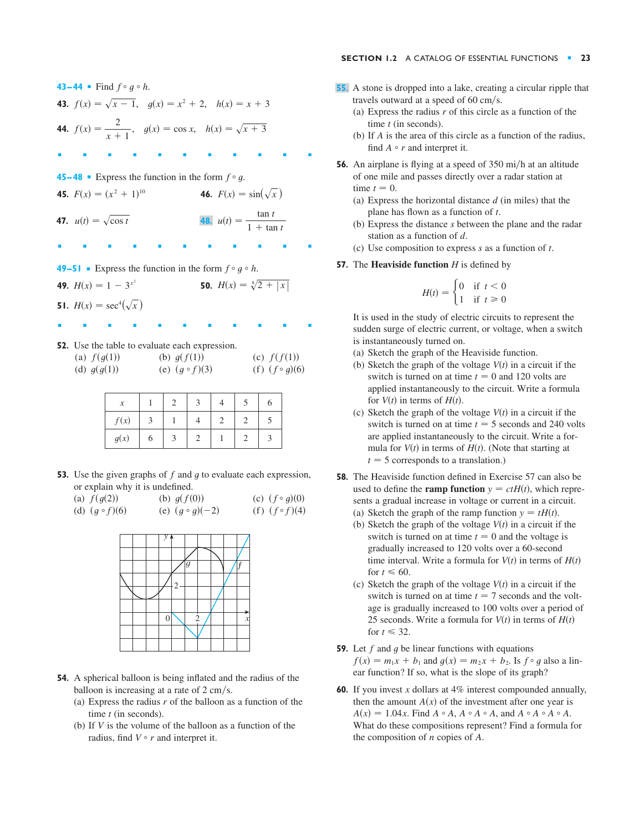| 43-44 • Find $f \circ g \circ h$ .                                                                                                                                  | 55. |
|---------------------------------------------------------------------------------------------------------------------------------------------------------------------|-----|
| <b>43.</b> $f(x) = \sqrt{x-1}$ , $g(x) = x^2 + 2$ , $h(x) = x + 3$                                                                                                  |     |
| <b>44.</b> $f(x) = \frac{2}{x+1}$ , $g(x) = \cos x$ , $h(x) = \sqrt{x+3}$                                                                                           |     |
|                                                                                                                                                                     | 56. |
| 45–48 • Express the function in the form $f \circ g$ .                                                                                                              |     |
| <b>46.</b> $F(x) = \sin(\sqrt{x})$<br>45. $F(x) = (x^2 + 1)^{10}$                                                                                                   |     |
| <b>48.</b> $u(t) = \frac{\tan t}{1 + \tan t}$<br>47. $u(t) = \sqrt{\cos t}$                                                                                         |     |
|                                                                                                                                                                     |     |
| 49-51 Express the function in the form $f \circ g \circ h$ .                                                                                                        | 57. |
| 49. $H(x) = 1 - 3^{x^2}$<br><b>50.</b> $H(x) = \sqrt[8]{2 +  x }$                                                                                                   |     |
| <b>51.</b> $H(x) = \sec^4(\sqrt{x})$                                                                                                                                |     |
|                                                                                                                                                                     |     |
| <b>52.</b> Use the table to evaluate each expression.<br>(c) $f(f(1))$<br>(a) $f(g(1))$<br>(b) $g(f(1))$<br>(d) $g(g(1))$ (e) $(g \circ f)(3)$ (f) $(f \circ g)(6)$ |     |
| 5<br>2<br>3<br>$\overline{4}$<br>6<br>1<br>х                                                                                                                        |     |

| r    |   |  |  |  |
|------|---|--|--|--|
| f(x) |   |  |  |  |
| g(x) | O |  |  |  |

**53.** Use the given graphs of  $f$  and  $g$  to evaluate each expression, or explain why it is undefined.

| (a) $f(g(2))$        | (b) $g(f(0))$         | (c) $(f \circ g)(0)$ |
|----------------------|-----------------------|----------------------|
| (d) $(g \circ f)(6)$ | (e) $(g \circ g)(-2)$ | (f) $(f \circ f)(4)$ |

- **54.** A spherical balloon is being inflated and the radius of the balloon is increasing at a rate of  $2 \text{ cm/s}$ .
	- (a) Express the radius  $r$  of the balloon as a function of the time  $t$  (in seconds).
	- (b) If  $V$  is the volume of the balloon as a function of the radius, find  $V \circ r$  and interpret it.

# **SECTION 1.2** A CATALOG OF ESSENTIAL FUNCTIONS ■ **23**

- A stone is dropped into a lake, creating a circular ripple that travels outward at a speed of  $60 \text{ cm/s}$ .
	- (a) Express the radius  $r$  of this circle as a function of the time  $t$  (in seconds).
	- (b) If  $A$  is the area of this circle as a function of the radius, find  $A \circ r$  and interpret it.
- **56.** An airplane is flying at a speed of 350 mi/h at an altitude of one mile and passes directly over a radar station at time  $t = 0$ .
	- (a) Express the horizontal distance  $d$  (in miles) that the plane has flown as a function of  $t$ .
	- (b) Express the distance  $s$  between the plane and the radar station as a function of d.
	- (c) Use composition to express  $s$  as a function of  $t$ .

# **57.** The **Heaviside function** *H* is defined by

$$
H(t) = \begin{cases} 0 & \text{if } t < 0 \\ 1 & \text{if } t \ge 0 \end{cases}
$$

It is used in the study of electric circuits to represent the sudden surge of electric current, or voltage, when a switch is instantaneously turned on.

- (a) Sketch the graph of the Heaviside function.
- (b) Sketch the graph of the voltage  $V(t)$  in a circuit if the switch is turned on at time  $t = 0$  and 120 volts are applied instantaneously to the circuit. Write a formula for  $V(t)$  in terms of  $H(t)$ .
- (c) Sketch the graph of the voltage  $V(t)$  in a circuit if the switch is turned on at time  $t = 5$  seconds and 240 volts are applied instantaneously to the circuit. Write a formula for  $V(t)$  in terms of  $H(t)$ . (Note that starting at  $t = 5$  corresponds to a translation.)
- **58.** The Heaviside function defined in Exercise 57 can also be used to define the **ramp function**  $y = ctH(t)$ , which represents a gradual increase in voltage or current in a circuit. (a) Sketch the graph of the ramp function  $y = tH(t)$ .
	- (b) Sketch the graph of the voltage  $V(t)$  in a circuit if the switch is turned on at time  $t = 0$  and the voltage is gradually increased to 120 volts over a 60-second time interval. Write a formula for  $V(t)$  in terms of  $H(t)$ for  $t \leq 60$ .
	- (c) Sketch the graph of the voltage  $V(t)$  in a circuit if the switch is turned on at time  $t = 7$  seconds and the voltage is gradually increased to 100 volts over a period of 25 seconds. Write a formula for  $V(t)$  in terms of  $H(t)$ for  $t \leq 32$ .
- **59.** Let  $f$  and  $g$  be linear functions with equations  $f(x) = m_1 x + b_1$  and  $g(x) = m_2 x + b_2$ . Is  $f \circ g$  also a linear function? If so, what is the slope of its graph?
- **60.** If you invest x dollars at  $4\%$  interest compounded annually, then the amount  $A(x)$  of the investment after one year is  $A(x) = 1.04x$ . Find  $A \circ A$ ,  $A \circ A \circ A$ , and  $A \circ A \circ A \circ A$ . What do these compositions represent? Find a formula for the composition of  $n$  copies of  $A$ .